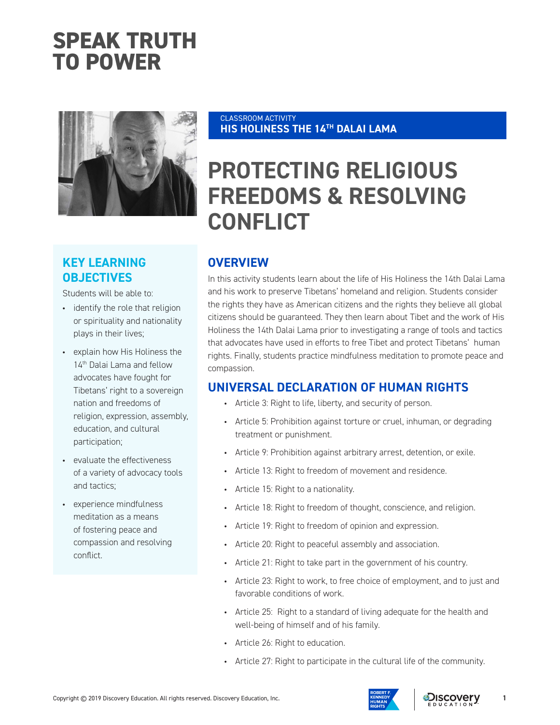# **SPEAK TRUTH TO POWER**



# **KEY LEARNING OBJECTIVES**

Students will be able to:

- identify the role that religion or spirituality and nationality plays in their lives;
- explain how His Holiness the 14<sup>th</sup> Dalai Lama and fellow advocates have fought for Tibetans' right to a sovereign nation and freedoms of religion, expression, assembly, education, and cultural participation;
- evaluate the effectiveness of a variety of advocacy tools and tactics;
- experience mindfulness meditation as a means of fostering peace and compassion and resolving conflict.

#### CLASSROOM ACTIVITY **HIS HOLINESS THE 14TH DALAI LAMA**

# **PROTECTING RELIGIOUS FREEDOMS & RESOLVING CONFLICT**

# **OVERVIEW**

In this activity students learn about the life of His Holiness the 14th Dalai Lama and his work to preserve Tibetans' homeland and religion. Students consider the rights they have as American citizens and the rights they believe all global citizens should be guaranteed. They then learn about Tibet and the work of His Holiness the 14th Dalai Lama prior to investigating a range of tools and tactics that advocates have used in efforts to free Tibet and protect Tibetans' human rights. Finally, students practice mindfulness meditation to promote peace and compassion.

## **UNIVERSAL DECLARATION OF HUMAN RIGHTS**

- Article 3: Right to life, liberty, and security of person.
- Article 5: Prohibition against torture or cruel, inhuman, or degrading treatment or punishment.
- Article 9: Prohibition against arbitrary arrest, detention, or exile.
- Article 13: Right to freedom of movement and residence.
- Article 15: Right to a nationality.
- Article 18: Right to freedom of thought, conscience, and religion.
- Article 19: Right to freedom of opinion and expression.
- Article 20: Right to peaceful assembly and association.
- Article 21: Right to take part in the government of his country.
- Article 23: Right to work, to free choice of employment, and to just and favorable conditions of work.
- Article 25: Right to a standard of living adequate for the health and well-being of himself and of his family.
- Article 26: Right to education.
- Article 27: Right to participate in the cultural life of the community.

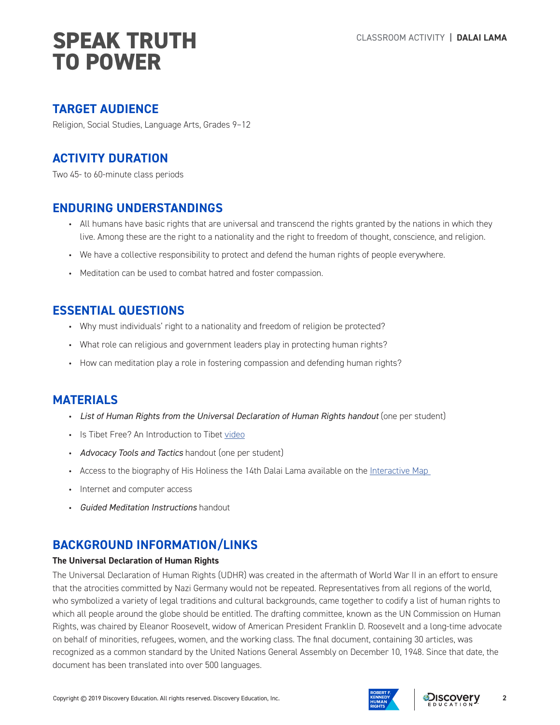## **TARGET AUDIENCE**

Religion, Social Studies, Language Arts, Grades 9–12

## **ACTIVITY DURATION**

Two 45- to 60-minute class periods

## **ENDURING UNDERSTANDINGS**

- All humans have basic rights that are universal and transcend the rights granted by the nations in which they live. Among these are the right to a nationality and the right to freedom of thought, conscience, and religion.
- We have a collective responsibility to protect and defend the human rights of people everywhere.
- Meditation can be used to combat hatred and foster compassion.

## **ESSENTIAL QUESTIONS**

- Why must individuals' right to a nationality and freedom of religion be protected?
- What role can religious and government leaders play in protecting human rights?
- How can meditation play a role in fostering compassion and defending human rights?

## **MATERIALS**

- *List of Human Rights from the Universal Declaration of Human Rights handout* (one per student)
- Is Tibet Free? An Introduction to Tibet video
- *Advocacy Tools and Tactics* handout (one per student)
- Access to the biography of His Holiness the 14th Dalai Lama available on the Interactive Map
- Internet and computer access
- *Guided Meditation Instructions* handout

## **BACKGROUND INFORMATION/LINKS**

### **The Universal Declaration of Human Rights**

The Universal Declaration of Human Rights (UDHR) was created in the aftermath of World War II in an effort to ensure that the atrocities committed by Nazi Germany would not be repeated. Representatives from all regions of the world, who symbolized a variety of legal traditions and cultural backgrounds, came together to codify a list of human rights to which all people around the globe should be entitled. The drafting committee, known as the UN Commission on Human Rights, was chaired by Eleanor Roosevelt, widow of American President Franklin D. Roosevelt and a long-time advocate on behalf of minorities, refugees, women, and the working class. The final document, containing 30 articles, was recognized as a common standard by the United Nations General Assembly on December 10, 1948. Since that date, the document has been translated into over 500 languages.



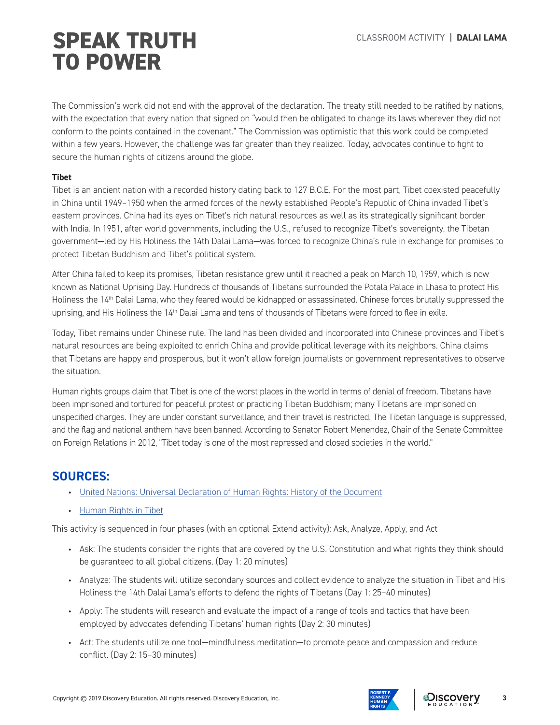The Commission's work did not end with the approval of the declaration. The treaty still needed to be ratified by nations, with the expectation that every nation that signed on "would then be obligated to change its laws wherever they did not conform to the points contained in the covenant." The Commission was optimistic that this work could be completed within a few years. However, the challenge was far greater than they realized. Today, advocates continue to fight to secure the human rights of citizens around the globe.

### **Tibet**

Tibet is an ancient nation with a recorded history dating back to 127 B.C.E. For the most part, Tibet coexisted peacefully in China until 1949–1950 when the armed forces of the newly established People's Republic of China invaded Tibet's eastern provinces. China had its eyes on Tibet's rich natural resources as well as its strategically significant border with India. In 1951, after world governments, including the U.S., refused to recognize Tibet's sovereignty, the Tibetan government—led by His Holiness the 14th Dalai Lama—was forced to recognize China's rule in exchange for promises to protect Tibetan Buddhism and Tibet's political system.

After China failed to keep its promises, Tibetan resistance grew until it reached a peak on March 10, 1959, which is now known as National Uprising Day. Hundreds of thousands of Tibetans surrounded the Potala Palace in Lhasa to protect His Holiness the 14<sup>th</sup> Dalai Lama, who they feared would be kidnapped or assassinated. Chinese forces brutally suppressed the uprising, and His Holiness the 14<sup>th</sup> Dalai Lama and tens of thousands of Tibetans were forced to flee in exile.

Today, Tibet remains under Chinese rule. The land has been divided and incorporated into Chinese provinces and Tibet's natural resources are being exploited to enrich China and provide political leverage with its neighbors. China claims that Tibetans are happy and prosperous, but it won't allow foreign journalists or government representatives to observe the situation.

Human rights groups claim that Tibet is one of the worst places in the world in terms of denial of freedom. Tibetans have been imprisoned and tortured for peaceful protest or practicing Tibetan Buddhism; many Tibetans are imprisoned on unspecified charges. They are under constant surveillance, and their travel is restricted. The Tibetan language is suppressed, and the flag and national anthem have been banned. According to Senator Robert Menendez, Chair of the Senate Committee on Foreign Relations in 2012, "Tibet today is one of the most repressed and closed societies in the world."

## **SOURCES:**

- United Nations: Universal Declaration of Human Rights: History of the Document
- Human Rights in Tibet

This activity is sequenced in four phases (with an optional Extend activity): Ask, Analyze, Apply, and Act

- Ask: The students consider the rights that are covered by the U.S. Constitution and what rights they think should be guaranteed to all global citizens. (Day 1: 20 minutes)
- Analyze: The students will utilize secondary sources and collect evidence to analyze the situation in Tibet and His Holiness the 14th Dalai Lama's efforts to defend the rights of Tibetans (Day 1: 25–40 minutes)
- Apply: The students will research and evaluate the impact of a range of tools and tactics that have been employed by advocates defending Tibetans' human rights (Day 2: 30 minutes)
- Act: The students utilize one tool—mindfulness meditation—to promote peace and compassion and reduce conflict. (Day 2: 15–30 minutes)



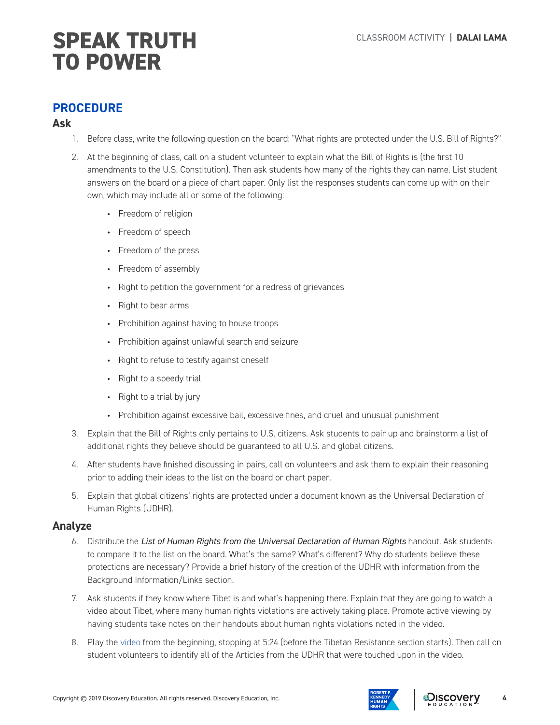## **PROCEDURE**

## **Ask**

- 1. Before class, write the following question on the board: "What rights are protected under the U.S. Bill of Rights?"
- 2. At the beginning of class, call on a student volunteer to explain what the Bill of Rights is (the first 10 amendments to the U.S. Constitution). Then ask students how many of the rights they can name. List student answers on the board or a piece of chart paper. Only list the responses students can come up with on their own, which may include all or some of the following:
	- Freedom of religion
	- Freedom of speech
	- Freedom of the press
	- Freedom of assembly
	- Right to petition the government for a redress of grievances
	- Right to bear arms
	- Prohibition against having to house troops
	- Prohibition against unlawful search and seizure
	- Right to refuse to testify against oneself
	- Right to a speedy trial
	- Right to a trial by jury
	- Prohibition against excessive bail, excessive fines, and cruel and unusual punishment
- 3. Explain that the Bill of Rights only pertains to U.S. citizens. Ask students to pair up and brainstorm a list of additional rights they believe should be guaranteed to all U.S. and global citizens.
- 4. After students have finished discussing in pairs, call on volunteers and ask them to explain their reasoning prior to adding their ideas to the list on the board or chart paper.
- 5. Explain that global citizens' rights are protected under a document known as the Universal Declaration of Human Rights (UDHR).

### **Analyze**

- 6. Distribute the *List of Human Rights from the Universal Declaration of Human Rights* handout. Ask students to compare it to the list on the board. What's the same? What's different? Why do students believe these protections are necessary? Provide a brief history of the creation of the UDHR with information from the Background Information/Links section.
- 7. Ask students if they know where Tibet is and what's happening there. Explain that they are going to watch a video about Tibet, where many human rights violations are actively taking place. Promote active viewing by having students take notes on their handouts about human rights violations noted in the video.
- 8. Play the video from the beginning, stopping at 5:24 (before the Tibetan Resistance section starts). Then call on student volunteers to identify all of the Articles from the UDHR that were touched upon in the video.



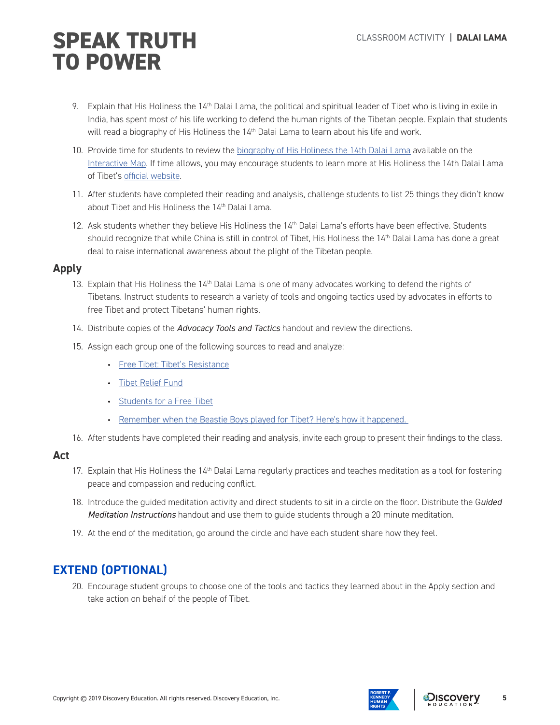- 9. Explain that His Holiness the 14<sup>th</sup> Dalai Lama, the political and spiritual leader of Tibet who is living in exile in India, has spent most of his life working to defend the human rights of the Tibetan people. Explain that students will read a biography of His Holiness the 14<sup>th</sup> Dalai Lama to learn about his life and work.
- 10. Provide time for students to review the biography of His Holiness the 14th Dalai Lama available on the Interactive Map. If time allows, you may encourage students to learn more at His Holiness the 14th Dalai Lama of Tibet's official website.
- 11. After students have completed their reading and analysis, challenge students to list 25 things they didn't know about Tibet and His Holiness the 14<sup>th</sup> Dalai Lama.
- 12. Ask students whether they believe His Holiness the 14<sup>th</sup> Dalai Lama's efforts have been effective. Students should recognize that while China is still in control of Tibet, His Holiness the 14<sup>th</sup> Dalai Lama has done a great deal to raise international awareness about the plight of the Tibetan people.

### **Apply**

- 13. Explain that His Holiness the 14<sup>th</sup> Dalai Lama is one of many advocates working to defend the rights of Tibetans. Instruct students to research a variety of tools and ongoing tactics used by advocates in efforts to free Tibet and protect Tibetans' human rights.
- 14. Distribute copies of the *Advocacy Tools and Tactics* handout and review the directions.
- 15. Assign each group one of the following sources to read and analyze:
	- Free Tibet: Tibet's Resistance
	- Tibet Relief Fund
	- Students for a Free Tibet
	- Remember when the Beastie Boys played for Tibet? Here's how it happened.
- 16. After students have completed their reading and analysis, invite each group to present their findings to the class.

### **Act**

- 17. Explain that His Holiness the  $14<sup>th</sup>$  Dalai Lama regularly practices and teaches meditation as a tool for fostering peace and compassion and reducing conflict.
- 18. Introduce the guided meditation activity and direct students to sit in a circle on the floor. Distribute the G*uided Meditation Instructions* handout and use them to guide students through a 20-minute meditation.
- 19. At the end of the meditation, go around the circle and have each student share how they feel.

# **EXTEND (OPTIONAL)**

20. Encourage student groups to choose one of the tools and tactics they learned about in the Apply section and take action on behalf of the people of Tibet.



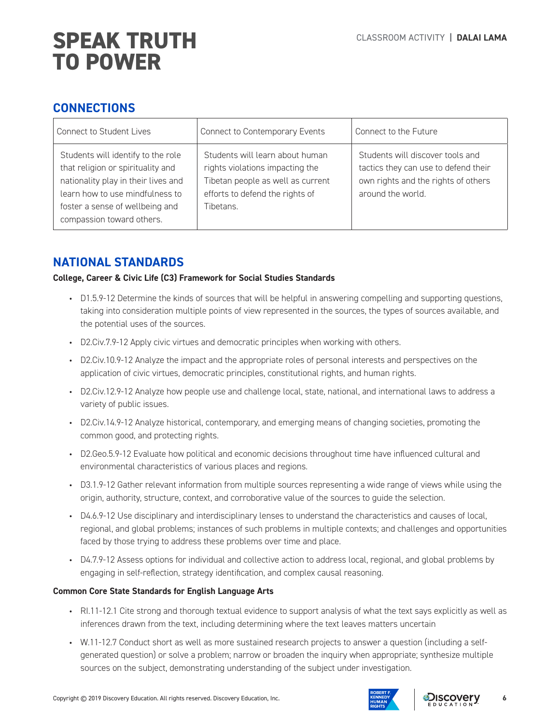## **CONNECTIONS**

| <b>Connect to Student Lives</b>                                                                                                                                                                                   | Connect to Contemporary Events                                                                                                                          | Connect to the Future                                                                                                                |
|-------------------------------------------------------------------------------------------------------------------------------------------------------------------------------------------------------------------|---------------------------------------------------------------------------------------------------------------------------------------------------------|--------------------------------------------------------------------------------------------------------------------------------------|
| Students will identify to the role<br>that religion or spirituality and<br>nationality play in their lives and<br>learn how to use mindfulness to<br>foster a sense of wellbeing and<br>compassion toward others. | Students will learn about human<br>rights violations impacting the<br>Tibetan people as well as current<br>efforts to defend the rights of<br>Tibetans. | Students will discover tools and<br>tactics they can use to defend their<br>own rights and the rights of others<br>around the world. |

## **NATIONAL STANDARDS**

### **College, Career & Civic Life (C3) Framework for Social Studies Standards**

- D1.5.9-12 Determine the kinds of sources that will be helpful in answering compelling and supporting questions, taking into consideration multiple points of view represented in the sources, the types of sources available, and the potential uses of the sources.
- D2.Civ.7.9-12 Apply civic virtues and democratic principles when working with others.
- D2.Civ.10.9-12 Analyze the impact and the appropriate roles of personal interests and perspectives on the application of civic virtues, democratic principles, constitutional rights, and human rights.
- D2.Civ.12.9-12 Analyze how people use and challenge local, state, national, and international laws to address a variety of public issues.
- D2.Civ.14.9-12 Analyze historical, contemporary, and emerging means of changing societies, promoting the common good, and protecting rights.
- D2.Geo.5.9-12 Evaluate how political and economic decisions throughout time have influenced cultural and environmental characteristics of various places and regions.
- D3.1.9-12 Gather relevant information from multiple sources representing a wide range of views while using the origin, authority, structure, context, and corroborative value of the sources to guide the selection.
- D4.6.9-12 Use disciplinary and interdisciplinary lenses to understand the characteristics and causes of local, regional, and global problems; instances of such problems in multiple contexts; and challenges and opportunities faced by those trying to address these problems over time and place.
- D4.7.9-12 Assess options for individual and collective action to address local, regional, and global problems by engaging in self-reflection, strategy identification, and complex causal reasoning.

### **Common Core State Standards for English Language Arts**

- RI.11-12.1 Cite strong and thorough textual evidence to support analysis of what the text says explicitly as well as inferences drawn from the text, including determining where the text leaves matters uncertain
- W.11-12.7 Conduct short as well as more sustained research projects to answer a question (including a selfgenerated question) or solve a problem; narrow or broaden the inquiry when appropriate; synthesize multiple sources on the subject, demonstrating understanding of the subject under investigation.

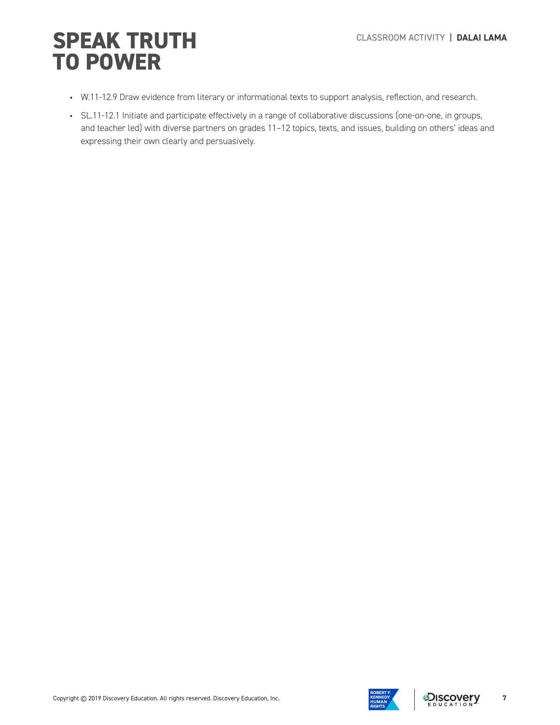# **SPEAK TRUTH** CLASSROOM ACTIVITY | DALAI LAMA **TO POWER**

- W.11-12.9 Draw evidence from literary or informational texts to support analysis, reflection, and research.
- SL.11-12.1 Initiate and participate effectively in a range of collaborative discussions (one-on-one, in groups, and teacher led) with diverse partners on grades 11–12 topics, texts, and issues, building on others' ideas and expressing their own clearly and persuasively.

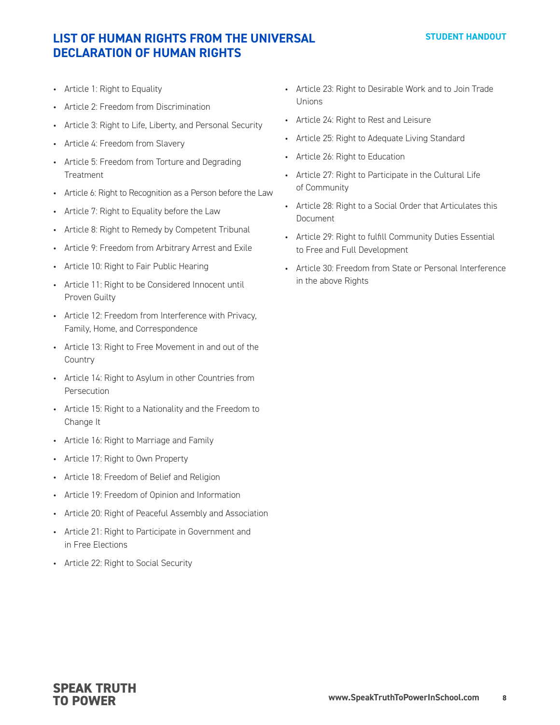## **LIST OF HUMAN RIGHTS FROM THE UNIVERSAL DECLARATION OF HUMAN RIGHTS**

- Article 1: Right to Equality
- Article 2: Freedom from Discrimination
- Article 3: Right to Life, Liberty, and Personal Security
- Article 4: Freedom from Slavery
- Article 5: Freedom from Torture and Degrading Treatment
- Article 6: Right to Recognition as a Person before the Law
- Article 7: Right to Equality before the Law
- Article 8: Right to Remedy by Competent Tribunal
- Article 9: Freedom from Arbitrary Arrest and Exile
- Article 10: Right to Fair Public Hearing
- Article 11: Right to be Considered Innocent until Proven Guilty
- Article 12: Freedom from Interference with Privacy, Family, Home, and Correspondence
- Article 13: Right to Free Movement in and out of the Country
- Article 14: Right to Asylum in other Countries from Persecution
- Article 15: Right to a Nationality and the Freedom to Change It
- Article 16: Right to Marriage and Family
- Article 17: Right to Own Property
- Article 18: Freedom of Belief and Religion
- Article 19: Freedom of Opinion and Information
- Article 20: Right of Peaceful Assembly and Association
- Article 21: Right to Participate in Government and in Free Elections
- Article 22: Right to Social Security
- Article 23: Right to Desirable Work and to Join Trade Unions
- Article 24: Right to Rest and Leisure
- Article 25: Right to Adequate Living Standard
- Article 26: Right to Education
- Article 27: Right to Participate in the Cultural Life of Community
- Article 28: Right to a Social Order that Articulates this Document
- Article 29: Right to fulfill Community Duties Essential to Free and Full Development
- Article 30: Freedom from State or Personal Interference in the above Rights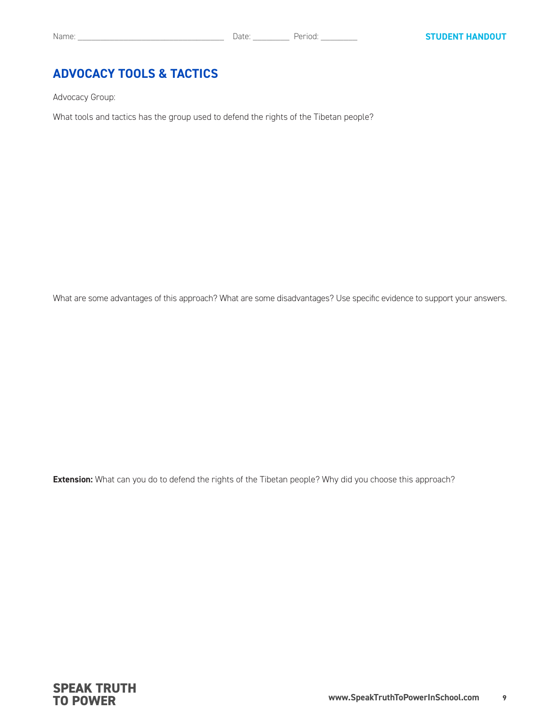## **ADVOCACY TOOLS & TACTICS**

Advocacy Group:

What tools and tactics has the group used to defend the rights of the Tibetan people?

What are some advantages of this approach? What are some disadvantages? Use specific evidence to support your answers.

**Extension:** What can you do to defend the rights of the Tibetan people? Why did you choose this approach?

**SPEAK TRUTH TO POWER**